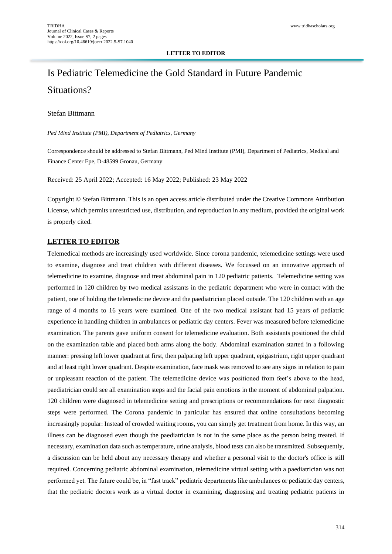#### **LETTER TO EDITOR**

# Is Pediatric Telemedicine the Gold Standard in Future Pandemic Situations?

### Stefan Bittmann

*Ped Mind Institute (PMI), Department of Pediatrics, Germany*

Correspondence should be addressed to Stefan Bittmann, Ped Mind Institute (PMI), Department of Pediatrics, Medical and Finance Center Epe, D-48599 Gronau, Germany

Received: 25 April 2022; Accepted: 16 May 2022; Published: 23 May 2022

Copyright © Stefan Bittmann. This is an open access article distributed under the Creative Commons Attribution License, which permits unrestricted use, distribution, and reproduction in any medium, provided the original work is properly cited.

#### **LETTER TO EDITOR**

Telemedical methods are increasingly used worldwide. Since corona pandemic, telemedicine settings were used to examine, diagnose and treat children with different diseases. We focussed on an innovative approach of telemedicine to examine, diagnose and treat abdominal pain in 120 pediatric patients. Telemedicine setting was performed in 120 children by two medical assistants in the pediatric department who were in contact with the patient, one of holding the telemedicine device and the paediatrician placed outside. The 120 children with an age range of 4 months to 16 years were examined. One of the two medical assistant had 15 years of pediatric experience in handling children in ambulances or pediatric day centers. Fever was measured before telemedicine examination. The parents gave uniform consent for telemedicine evaluation. Both assistants positioned the child on the examination table and placed both arms along the body. Abdominal examination started in a following manner: pressing left lower quadrant at first, then palpating left upper quadrant, epigastrium, right upper quadrant and at least right lower quadrant. Despite examination, face mask was removed to see any signs in relation to pain or unpleasant reaction of the patient. The telemedicine device was positioned from feet's above to the head, paediatrician could see all examination steps and the facial pain emotions in the moment of abdominal palpation. 120 children were diagnosed in telemedicine setting and prescriptions or recommendations for next diagnostic steps were performed. The Corona pandemic in particular has ensured that online consultations becoming increasingly popular: Instead of crowded waiting rooms, you can simply get treatment from home. In this way, an illness can be diagnosed even though the paediatrician is not in the same place as the person being treated. If necessary, examination data such as temperature, urine analysis, blood tests can also be transmitted. Subsequently, a discussion can be held about any necessary therapy and whether a personal visit to the doctor's office is still required. Concerning pediatric abdominal examination, telemedicine virtual setting with a paediatrician was not performed yet. The future could be, in "fast track" pediatric departments like ambulances or pediatric day centers, that the pediatric doctors work as a virtual doctor in examining, diagnosing and treating pediatric patients in